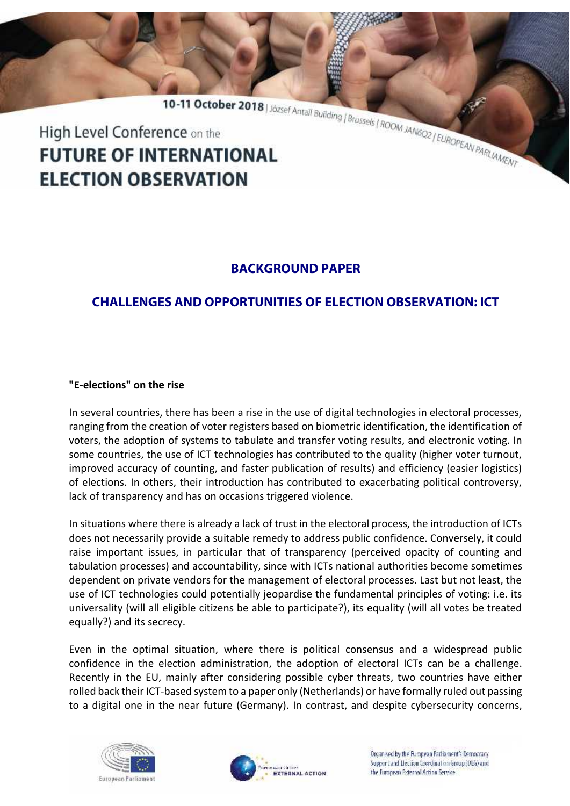10-11 October 2018 | József Antall Building | Brussels | ROOM JANGO2 | EUROPEAN PARLAMENT High Level Conference on the **FUTURE OF INTERNATIONAL ELECTION OBSERVATION** 

## **BACKGROUND PAPER**

# **CHALLENGES AND OPPORTUNITIES OF ELECTION OBSERVATION: ICT**

## **"E-elections" on the rise**

In several countries, there has been a rise in the use of digital technologies in electoral processes, ranging from the creation of voter registers based on biometric identification, the identification of voters, the adoption of systems to tabulate and transfer voting results, and electronic voting. In some countries, the use of ICT technologies has contributed to the quality (higher voter turnout, improved accuracy of counting, and faster publication of results) and efficiency (easier logistics) of elections. In others, their introduction has contributed to exacerbating political controversy, lack of transparency and has on occasions triggered violence.

In situations where there is already a lack of trust in the electoral process, the introduction of ICTs does not necessarily provide a suitable remedy to address public confidence. Conversely, it could raise important issues, in particular that of transparency (perceived opacity of counting and tabulation processes) and accountability, since with ICTs national authorities become sometimes dependent on private vendors for the management of electoral processes. Last but not least, the use of ICT technologies could potentially jeopardise the fundamental principles of voting: i.e. its universality (will all eligible citizens be able to participate?), its equality (will all votes be treated equally?) and its secrecy.

Even in the optimal situation, where there is political consensus and a widespread public confidence in the election administration, the adoption of electoral ICTs can be a challenge. Recently in the EU, mainly after considering possible cyber threats, two countries have either rolled back their ICT-based system to a paper only (Netherlands) or have formally ruled out passing to a digital one in the near future (Germany). In contrast, and despite cybersecurity concerns,





Organised by the European Parliament's Democracy. Support and Liection Coordination Group (DEG) and the Euronean External Action Service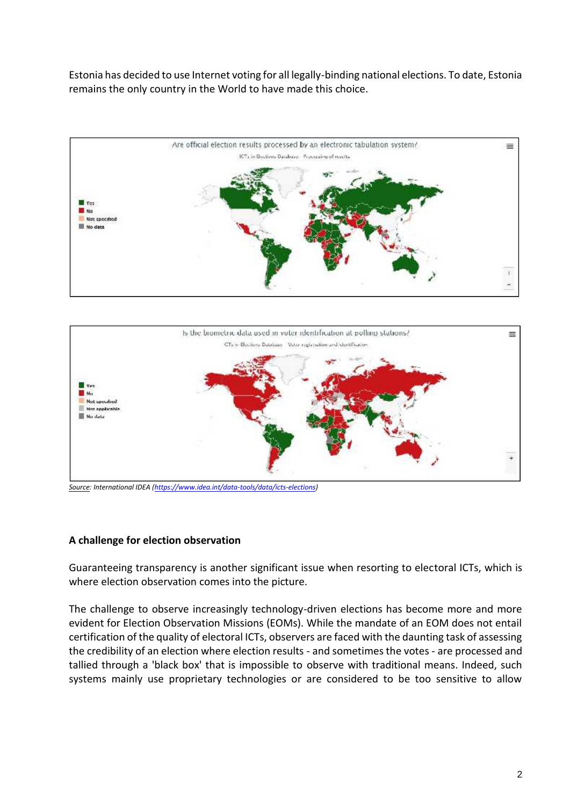Estonia has decided to use Internet voting for all legally-binding national elections. To date, Estonia remains the only country in the World to have made this choice.





*Source: International IDEA (https://www.idea.int/data-tools/data/icts-elections)*

### **A challenge for election observation**

Guaranteeing transparency is another significant issue when resorting to electoral ICTs, which is where election observation comes into the picture.

The challenge to observe increasingly technology-driven elections has become more and more evident for Election Observation Missions (EOMs). While the mandate of an EOM does not entail certification of the quality of electoral ICTs, observers are faced with the daunting task of assessing the credibility of an election where election results - and sometimes the votes - are processed and tallied through a 'black box' that is impossible to observe with traditional means. Indeed, such systems mainly use proprietary technologies or are considered to be too sensitive to allow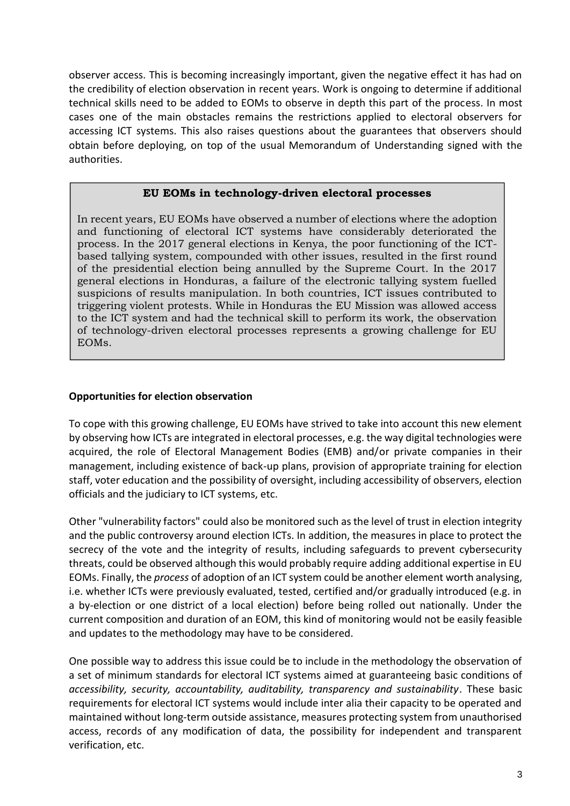observer access. This is becoming increasingly important, given the negative effect it has had on the credibility of election observation in recent years. Work is ongoing to determine if additional technical skills need to be added to EOMs to observe in depth this part of the process. In most cases one of the main obstacles remains the restrictions applied to electoral observers for accessing ICT systems. This also raises questions about the guarantees that observers should obtain before deploying, on top of the usual Memorandum of Understanding signed with the authorities.

## **EU EOMs in technology-driven electoral processes**

In recent years, EU EOMs have observed a number of elections where the adoption and functioning of electoral ICT systems have considerably deteriorated the process. In the 2017 general elections in Kenya, the poor functioning of the ICT based tallying system, compounded with other issues, resulted in the first round of the presidential election being annulled by the Supreme Court. In the 2017 general elections in Honduras, a failure of the electronic tallying system fuelled suspicions of results manipulation. In both countries, ICT issues contributed to triggering violent protests. While in Honduras the EU Mission was allowed access to the ICT system and had the technical skill to perform its work, the observation of technology-driven electoral processes represents a growing challenge for EU EOMs.

### **Opportunities for election observation**

To cope with this growing challenge, EU EOMs have strived to take into account this new element by observing how ICTs are integrated in electoral processes, e.g. the way digital technologies were acquired, the role of Electoral Management Bodies (EMB) and/or private companies in their management, including existence of back-up plans, provision of appropriate training for election staff, voter education and the possibility of oversight, including accessibility of observers, election officials and the judiciary to ICT systems, etc.

Other "vulnerability factors" could also be monitored such as the level of trust in election integrity and the public controversy around election ICTs. In addition, the measures in place to protect the secrecy of the vote and the integrity of results, including safeguards to prevent cybersecurity threats, could be observed although this would probably require adding additional expertise in EU EOMs. Finally, the *process* of adoption of an ICT system could be another element worth analysing, i.e. whether ICTs were previously evaluated, tested, certified and/or gradually introduced (e.g. in a by-election or one district of a local election) before being rolled out nationally. Under the current composition and duration of an EOM, this kind of monitoring would not be easily feasible and updates to the methodology may have to be considered.

One possible way to address this issue could be to include in the methodology the observation of a set of minimum standards for electoral ICT systems aimed at guaranteeing basic conditions of *accessibility, security, accountability, auditability, transparency and sustainability*. These basic requirements for electoral ICT systems would include inter alia their capacity to be operated and maintained without long-term outside assistance, measures protecting system from unauthorised access, records of any modification of data, the possibility for independent and transparent verification, etc.